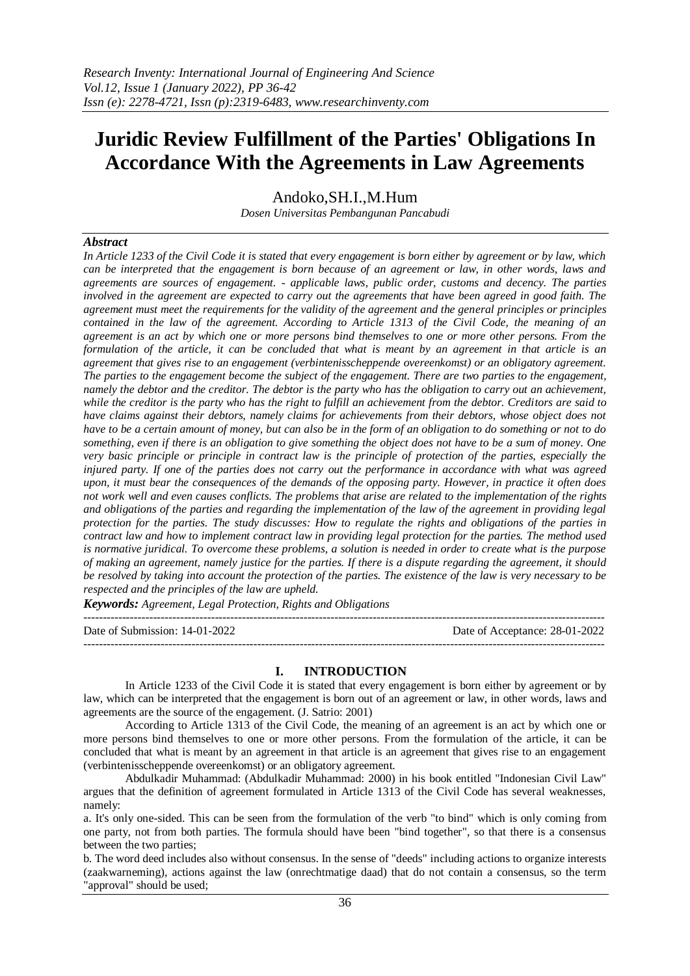# **Juridic Review Fulfillment of the Parties' Obligations In Accordance With the Agreements in Law Agreements**

Andoko,SH.I.,M.Hum *Dosen Universitas Pembangunan Pancabudi*

## *Abstract*

*In Article 1233 of the Civil Code it is stated that every engagement is born either by agreement or by law, which can be interpreted that the engagement is born because of an agreement or law, in other words, laws and agreements are sources of engagement. - applicable laws, public order, customs and decency. The parties involved in the agreement are expected to carry out the agreements that have been agreed in good faith. The agreement must meet the requirements for the validity of the agreement and the general principles or principles contained in the law of the agreement. According to Article 1313 of the Civil Code, the meaning of an agreement is an act by which one or more persons bind themselves to one or more other persons. From the formulation of the article, it can be concluded that what is meant by an agreement in that article is an agreement that gives rise to an engagement (verbintenisscheppende overeenkomst) or an obligatory agreement. The parties to the engagement become the subject of the engagement. There are two parties to the engagement, namely the debtor and the creditor. The debtor is the party who has the obligation to carry out an achievement, while the creditor is the party who has the right to fulfill an achievement from the debtor. Creditors are said to have claims against their debtors, namely claims for achievements from their debtors, whose object does not have to be a certain amount of money, but can also be in the form of an obligation to do something or not to do something, even if there is an obligation to give something the object does not have to be a sum of money. One very basic principle or principle in contract law is the principle of protection of the parties, especially the injured party. If one of the parties does not carry out the performance in accordance with what was agreed upon, it must bear the consequences of the demands of the opposing party. However, in practice it often does not work well and even causes conflicts. The problems that arise are related to the implementation of the rights and obligations of the parties and regarding the implementation of the law of the agreement in providing legal protection for the parties. The study discusses: How to regulate the rights and obligations of the parties in contract law and how to implement contract law in providing legal protection for the parties. The method used is normative juridical. To overcome these problems, a solution is needed in order to create what is the purpose of making an agreement, namely justice for the parties. If there is a dispute regarding the agreement, it should be resolved by taking into account the protection of the parties. The existence of the law is very necessary to be respected and the principles of the law are upheld.*

*Keywords: Agreement, Legal Protection, Rights and Obligations* ---------------------------------------------------------------------------------------------------------------------------------------

Date of Submission: 14-01-2022 Date of Acceptance: 28-01-2022

## **I. INTRODUCTION**

---------------------------------------------------------------------------------------------------------------------------------------

In Article 1233 of the Civil Code it is stated that every engagement is born either by agreement or by law, which can be interpreted that the engagement is born out of an agreement or law, in other words, laws and agreements are the source of the engagement. (J. Satrio: 2001)

According to Article 1313 of the Civil Code, the meaning of an agreement is an act by which one or more persons bind themselves to one or more other persons. From the formulation of the article, it can be concluded that what is meant by an agreement in that article is an agreement that gives rise to an engagement (verbintenisscheppende overeenkomst) or an obligatory agreement.

Abdulkadir Muhammad: (Abdulkadir Muhammad: 2000) in his book entitled "Indonesian Civil Law" argues that the definition of agreement formulated in Article 1313 of the Civil Code has several weaknesses, namely:

a. It's only one-sided. This can be seen from the formulation of the verb "to bind" which is only coming from one party, not from both parties. The formula should have been "bind together", so that there is a consensus between the two parties;

b. The word deed includes also without consensus. In the sense of "deeds" including actions to organize interests (zaakwarneming), actions against the law (onrechtmatige daad) that do not contain a consensus, so the term "approval" should be used;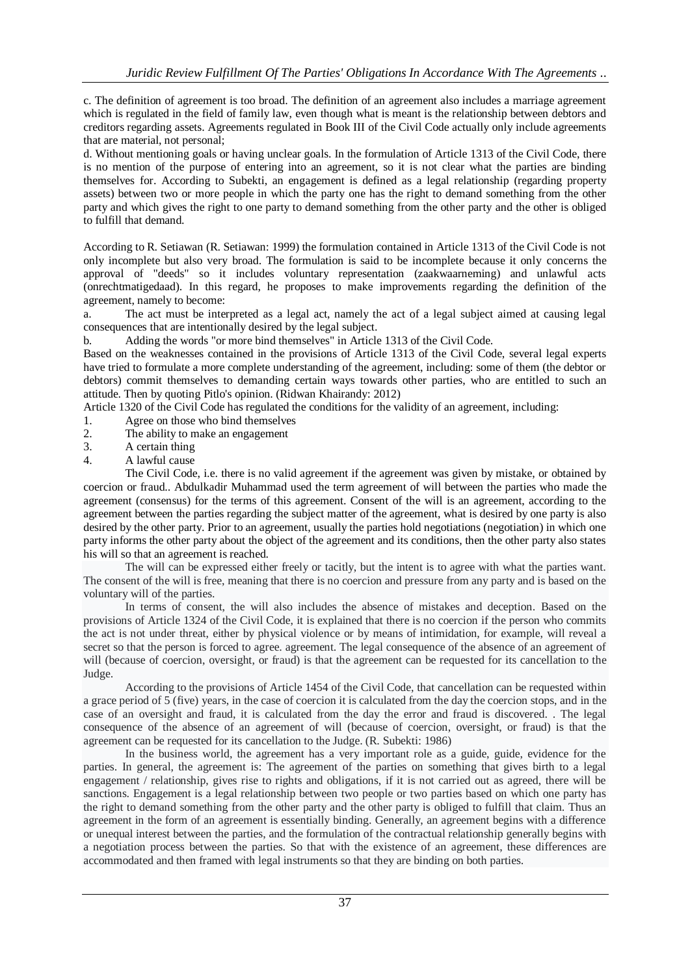c. The definition of agreement is too broad. The definition of an agreement also includes a marriage agreement which is regulated in the field of family law, even though what is meant is the relationship between debtors and creditors regarding assets. Agreements regulated in Book III of the Civil Code actually only include agreements that are material, not personal;

d. Without mentioning goals or having unclear goals. In the formulation of Article 1313 of the Civil Code, there is no mention of the purpose of entering into an agreement, so it is not clear what the parties are binding themselves for. According to Subekti, an engagement is defined as a legal relationship (regarding property assets) between two or more people in which the party one has the right to demand something from the other party and which gives the right to one party to demand something from the other party and the other is obliged to fulfill that demand.

According to R. Setiawan (R. Setiawan: 1999) the formulation contained in Article 1313 of the Civil Code is not only incomplete but also very broad. The formulation is said to be incomplete because it only concerns the approval of "deeds" so it includes voluntary representation (zaakwaarneming) and unlawful acts (onrechtmatigedaad). In this regard, he proposes to make improvements regarding the definition of the agreement, namely to become:

a. The act must be interpreted as a legal act, namely the act of a legal subject aimed at causing legal consequences that are intentionally desired by the legal subject.

b. Adding the words "or more bind themselves" in Article 1313 of the Civil Code.

Based on the weaknesses contained in the provisions of Article 1313 of the Civil Code, several legal experts have tried to formulate a more complete understanding of the agreement, including: some of them (the debtor or debtors) commit themselves to demanding certain ways towards other parties, who are entitled to such an attitude. Then by quoting Pitlo's opinion. (Ridwan Khairandy: 2012)

Article 1320 of the Civil Code has regulated the conditions for the validity of an agreement, including:

- 1. Agree on those who bind themselves
- 2. The ability to make an engagement
- 3. A certain thing
- 4. A lawful cause

The Civil Code, i.e. there is no valid agreement if the agreement was given by mistake, or obtained by coercion or fraud.. Abdulkadir Muhammad used the term agreement of will between the parties who made the agreement (consensus) for the terms of this agreement. Consent of the will is an agreement, according to the agreement between the parties regarding the subject matter of the agreement, what is desired by one party is also desired by the other party. Prior to an agreement, usually the parties hold negotiations (negotiation) in which one party informs the other party about the object of the agreement and its conditions, then the other party also states his will so that an agreement is reached.

The will can be expressed either freely or tacitly, but the intent is to agree with what the parties want. The consent of the will is free, meaning that there is no coercion and pressure from any party and is based on the voluntary will of the parties.

In terms of consent, the will also includes the absence of mistakes and deception. Based on the provisions of Article 1324 of the Civil Code, it is explained that there is no coercion if the person who commits the act is not under threat, either by physical violence or by means of intimidation, for example, will reveal a secret so that the person is forced to agree. agreement. The legal consequence of the absence of an agreement of will (because of coercion, oversight, or fraud) is that the agreement can be requested for its cancellation to the Judge.

According to the provisions of Article 1454 of the Civil Code, that cancellation can be requested within a grace period of 5 (five) years, in the case of coercion it is calculated from the day the coercion stops, and in the case of an oversight and fraud, it is calculated from the day the error and fraud is discovered. . The legal consequence of the absence of an agreement of will (because of coercion, oversight, or fraud) is that the agreement can be requested for its cancellation to the Judge. (R. Subekti: 1986)

In the business world, the agreement has a very important role as a guide, guide, evidence for the parties. In general, the agreement is: The agreement of the parties on something that gives birth to a legal engagement / relationship, gives rise to rights and obligations, if it is not carried out as agreed, there will be sanctions. Engagement is a legal relationship between two people or two parties based on which one party has the right to demand something from the other party and the other party is obliged to fulfill that claim. Thus an agreement in the form of an agreement is essentially binding. Generally, an agreement begins with a difference or unequal interest between the parties, and the formulation of the contractual relationship generally begins with a negotiation process between the parties. So that with the existence of an agreement, these differences are accommodated and then framed with legal instruments so that they are binding on both parties.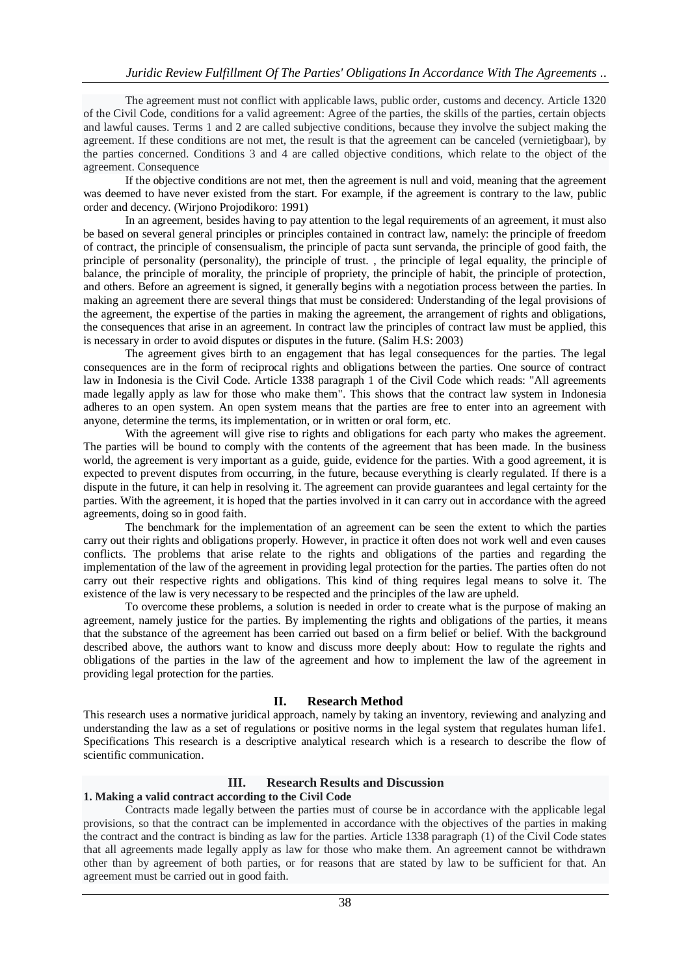The agreement must not conflict with applicable laws, public order, customs and decency. Article 1320 of the Civil Code, conditions for a valid agreement: Agree of the parties, the skills of the parties, certain objects and lawful causes. Terms 1 and 2 are called subjective conditions, because they involve the subject making the agreement. If these conditions are not met, the result is that the agreement can be canceled (vernietigbaar), by the parties concerned. Conditions 3 and 4 are called objective conditions, which relate to the object of the agreement. Consequence

If the objective conditions are not met, then the agreement is null and void, meaning that the agreement was deemed to have never existed from the start. For example, if the agreement is contrary to the law, public order and decency. (Wirjono Projodikoro: 1991)

In an agreement, besides having to pay attention to the legal requirements of an agreement, it must also be based on several general principles or principles contained in contract law, namely: the principle of freedom of contract, the principle of consensualism, the principle of pacta sunt servanda, the principle of good faith, the principle of personality (personality), the principle of trust. , the principle of legal equality, the principle of balance, the principle of morality, the principle of propriety, the principle of habit, the principle of protection, and others. Before an agreement is signed, it generally begins with a negotiation process between the parties. In making an agreement there are several things that must be considered: Understanding of the legal provisions of the agreement, the expertise of the parties in making the agreement, the arrangement of rights and obligations, the consequences that arise in an agreement. In contract law the principles of contract law must be applied, this is necessary in order to avoid disputes or disputes in the future. (Salim H.S: 2003)

The agreement gives birth to an engagement that has legal consequences for the parties. The legal consequences are in the form of reciprocal rights and obligations between the parties. One source of contract law in Indonesia is the Civil Code. Article 1338 paragraph 1 of the Civil Code which reads: "All agreements made legally apply as law for those who make them". This shows that the contract law system in Indonesia adheres to an open system. An open system means that the parties are free to enter into an agreement with anyone, determine the terms, its implementation, or in written or oral form, etc.

With the agreement will give rise to rights and obligations for each party who makes the agreement. The parties will be bound to comply with the contents of the agreement that has been made. In the business world, the agreement is very important as a guide, guide, evidence for the parties. With a good agreement, it is expected to prevent disputes from occurring, in the future, because everything is clearly regulated. If there is a dispute in the future, it can help in resolving it. The agreement can provide guarantees and legal certainty for the parties. With the agreement, it is hoped that the parties involved in it can carry out in accordance with the agreed agreements, doing so in good faith.

The benchmark for the implementation of an agreement can be seen the extent to which the parties carry out their rights and obligations properly. However, in practice it often does not work well and even causes conflicts. The problems that arise relate to the rights and obligations of the parties and regarding the implementation of the law of the agreement in providing legal protection for the parties. The parties often do not carry out their respective rights and obligations. This kind of thing requires legal means to solve it. The existence of the law is very necessary to be respected and the principles of the law are upheld.

To overcome these problems, a solution is needed in order to create what is the purpose of making an agreement, namely justice for the parties. By implementing the rights and obligations of the parties, it means that the substance of the agreement has been carried out based on a firm belief or belief. With the background described above, the authors want to know and discuss more deeply about: How to regulate the rights and obligations of the parties in the law of the agreement and how to implement the law of the agreement in providing legal protection for the parties.

#### **II. Research Method**

This research uses a normative juridical approach, namely by taking an inventory, reviewing and analyzing and understanding the law as a set of regulations or positive norms in the legal system that regulates human life1. Specifications This research is a descriptive analytical research which is a research to describe the flow of scientific communication.

#### **III. Research Results and Discussion**

#### **1. Making a valid contract according to the Civil Code**

Contracts made legally between the parties must of course be in accordance with the applicable legal provisions, so that the contract can be implemented in accordance with the objectives of the parties in making the contract and the contract is binding as law for the parties. Article 1338 paragraph (1) of the Civil Code states that all agreements made legally apply as law for those who make them. An agreement cannot be withdrawn other than by agreement of both parties, or for reasons that are stated by law to be sufficient for that. An agreement must be carried out in good faith.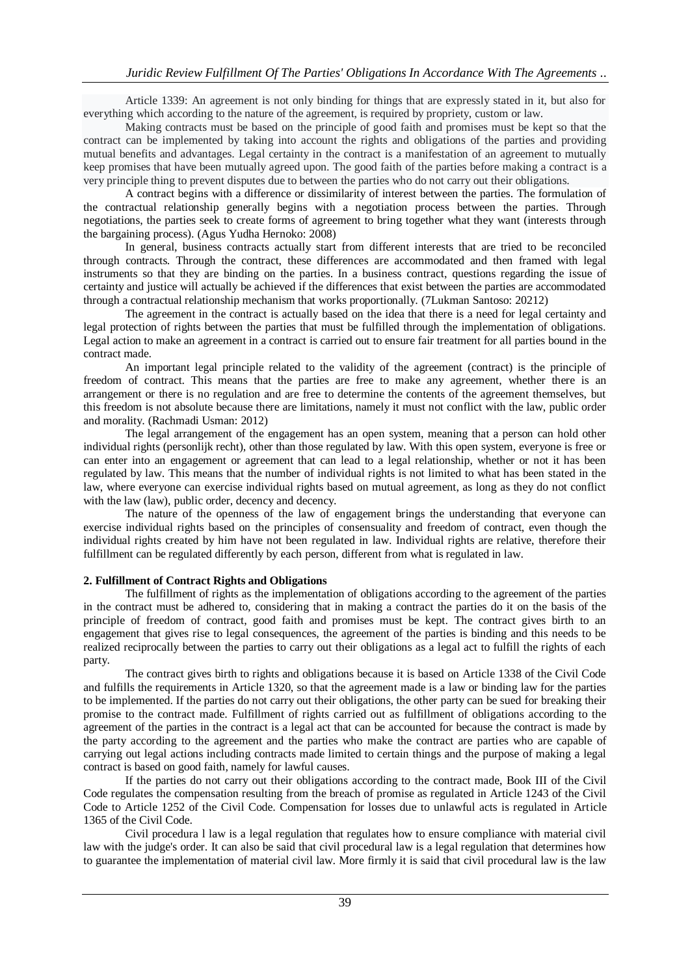Article 1339: An agreement is not only binding for things that are expressly stated in it, but also for everything which according to the nature of the agreement, is required by propriety, custom or law.

Making contracts must be based on the principle of good faith and promises must be kept so that the contract can be implemented by taking into account the rights and obligations of the parties and providing mutual benefits and advantages. Legal certainty in the contract is a manifestation of an agreement to mutually keep promises that have been mutually agreed upon. The good faith of the parties before making a contract is a very principle thing to prevent disputes due to between the parties who do not carry out their obligations.

A contract begins with a difference or dissimilarity of interest between the parties. The formulation of the contractual relationship generally begins with a negotiation process between the parties. Through negotiations, the parties seek to create forms of agreement to bring together what they want (interests through the bargaining process). (Agus Yudha Hernoko: 2008)

In general, business contracts actually start from different interests that are tried to be reconciled through contracts. Through the contract, these differences are accommodated and then framed with legal instruments so that they are binding on the parties. In a business contract, questions regarding the issue of certainty and justice will actually be achieved if the differences that exist between the parties are accommodated through a contractual relationship mechanism that works proportionally. (7Lukman Santoso: 20212)

The agreement in the contract is actually based on the idea that there is a need for legal certainty and legal protection of rights between the parties that must be fulfilled through the implementation of obligations. Legal action to make an agreement in a contract is carried out to ensure fair treatment for all parties bound in the contract made.

An important legal principle related to the validity of the agreement (contract) is the principle of freedom of contract. This means that the parties are free to make any agreement, whether there is an arrangement or there is no regulation and are free to determine the contents of the agreement themselves, but this freedom is not absolute because there are limitations, namely it must not conflict with the law, public order and morality. (Rachmadi Usman: 2012)

The legal arrangement of the engagement has an open system, meaning that a person can hold other individual rights (personlijk recht), other than those regulated by law. With this open system, everyone is free or can enter into an engagement or agreement that can lead to a legal relationship, whether or not it has been regulated by law. This means that the number of individual rights is not limited to what has been stated in the law, where everyone can exercise individual rights based on mutual agreement, as long as they do not conflict with the law (law), public order, decency and decency.

The nature of the openness of the law of engagement brings the understanding that everyone can exercise individual rights based on the principles of consensuality and freedom of contract, even though the individual rights created by him have not been regulated in law. Individual rights are relative, therefore their fulfillment can be regulated differently by each person, different from what is regulated in law.

#### **2. Fulfillment of Contract Rights and Obligations**

The fulfillment of rights as the implementation of obligations according to the agreement of the parties in the contract must be adhered to, considering that in making a contract the parties do it on the basis of the principle of freedom of contract, good faith and promises must be kept. The contract gives birth to an engagement that gives rise to legal consequences, the agreement of the parties is binding and this needs to be realized reciprocally between the parties to carry out their obligations as a legal act to fulfill the rights of each party.

The contract gives birth to rights and obligations because it is based on Article 1338 of the Civil Code and fulfills the requirements in Article 1320, so that the agreement made is a law or binding law for the parties to be implemented. If the parties do not carry out their obligations, the other party can be sued for breaking their promise to the contract made. Fulfillment of rights carried out as fulfillment of obligations according to the agreement of the parties in the contract is a legal act that can be accounted for because the contract is made by the party according to the agreement and the parties who make the contract are parties who are capable of carrying out legal actions including contracts made limited to certain things and the purpose of making a legal contract is based on good faith, namely for lawful causes.

If the parties do not carry out their obligations according to the contract made, Book III of the Civil Code regulates the compensation resulting from the breach of promise as regulated in Article 1243 of the Civil Code to Article 1252 of the Civil Code. Compensation for losses due to unlawful acts is regulated in Article 1365 of the Civil Code.

Civil procedura l law is a legal regulation that regulates how to ensure compliance with material civil law with the judge's order. It can also be said that civil procedural law is a legal regulation that determines how to guarantee the implementation of material civil law. More firmly it is said that civil procedural law is the law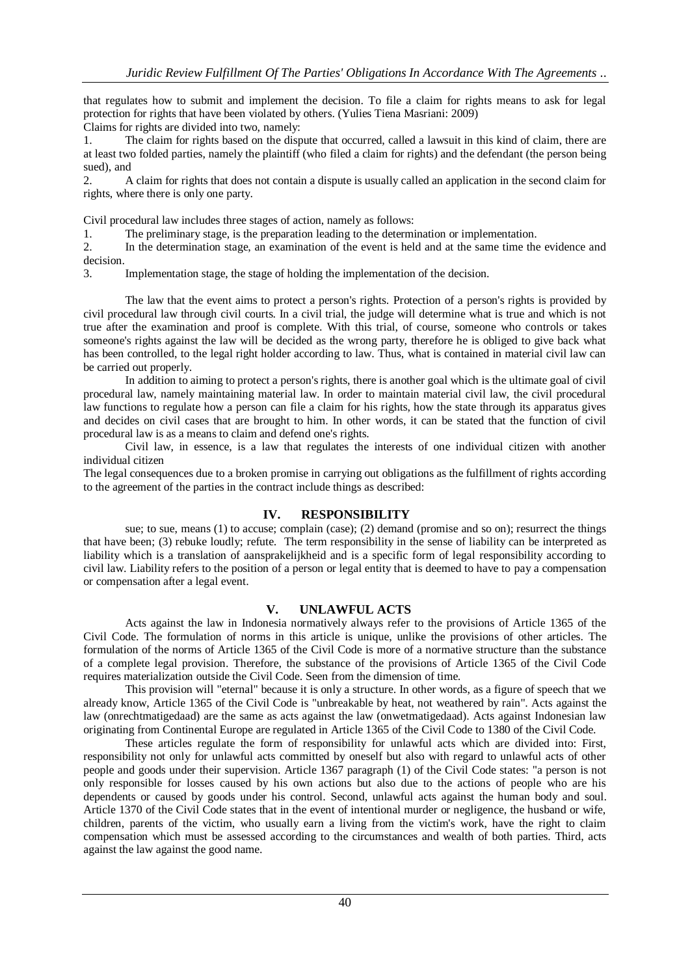that regulates how to submit and implement the decision. To file a claim for rights means to ask for legal protection for rights that have been violated by others. (Yulies Tiena Masriani: 2009)

Claims for rights are divided into two, namely:

1. The claim for rights based on the dispute that occurred, called a lawsuit in this kind of claim, there are at least two folded parties, namely the plaintiff (who filed a claim for rights) and the defendant (the person being sued), and

2. A claim for rights that does not contain a dispute is usually called an application in the second claim for rights, where there is only one party.

Civil procedural law includes three stages of action, namely as follows:

1. The preliminary stage, is the preparation leading to the determination or implementation.

2. In the determination stage, an examination of the event is held and at the same time the evidence and decision.

3. Implementation stage, the stage of holding the implementation of the decision.

The law that the event aims to protect a person's rights. Protection of a person's rights is provided by civil procedural law through civil courts. In a civil trial, the judge will determine what is true and which is not true after the examination and proof is complete. With this trial, of course, someone who controls or takes someone's rights against the law will be decided as the wrong party, therefore he is obliged to give back what has been controlled, to the legal right holder according to law. Thus, what is contained in material civil law can be carried out properly.

In addition to aiming to protect a person's rights, there is another goal which is the ultimate goal of civil procedural law, namely maintaining material law. In order to maintain material civil law, the civil procedural law functions to regulate how a person can file a claim for his rights, how the state through its apparatus gives and decides on civil cases that are brought to him. In other words, it can be stated that the function of civil procedural law is as a means to claim and defend one's rights.

Civil law, in essence, is a law that regulates the interests of one individual citizen with another individual citizen

The legal consequences due to a broken promise in carrying out obligations as the fulfillment of rights according to the agreement of the parties in the contract include things as described:

## **IV. RESPONSIBILITY**

sue; to sue, means (1) to accuse; complain (case); (2) demand (promise and so on); resurrect the things that have been; (3) rebuke loudly; refute. The term responsibility in the sense of liability can be interpreted as liability which is a translation of aansprakelijkheid and is a specific form of legal responsibility according to civil law. Liability refers to the position of a person or legal entity that is deemed to have to pay a compensation or compensation after a legal event.

## **V. UNLAWFUL ACTS**

Acts against the law in Indonesia normatively always refer to the provisions of Article 1365 of the Civil Code. The formulation of norms in this article is unique, unlike the provisions of other articles. The formulation of the norms of Article 1365 of the Civil Code is more of a normative structure than the substance of a complete legal provision. Therefore, the substance of the provisions of Article 1365 of the Civil Code requires materialization outside the Civil Code. Seen from the dimension of time.

This provision will "eternal" because it is only a structure. In other words, as a figure of speech that we already know, Article 1365 of the Civil Code is "unbreakable by heat, not weathered by rain". Acts against the law (onrechtmatigedaad) are the same as acts against the law (onwetmatigedaad). Acts against Indonesian law originating from Continental Europe are regulated in Article 1365 of the Civil Code to 1380 of the Civil Code.

These articles regulate the form of responsibility for unlawful acts which are divided into: First, responsibility not only for unlawful acts committed by oneself but also with regard to unlawful acts of other people and goods under their supervision. Article 1367 paragraph (1) of the Civil Code states: "a person is not only responsible for losses caused by his own actions but also due to the actions of people who are his dependents or caused by goods under his control. Second, unlawful acts against the human body and soul. Article 1370 of the Civil Code states that in the event of intentional murder or negligence, the husband or wife, children, parents of the victim, who usually earn a living from the victim's work, have the right to claim compensation which must be assessed according to the circumstances and wealth of both parties. Third, acts against the law against the good name.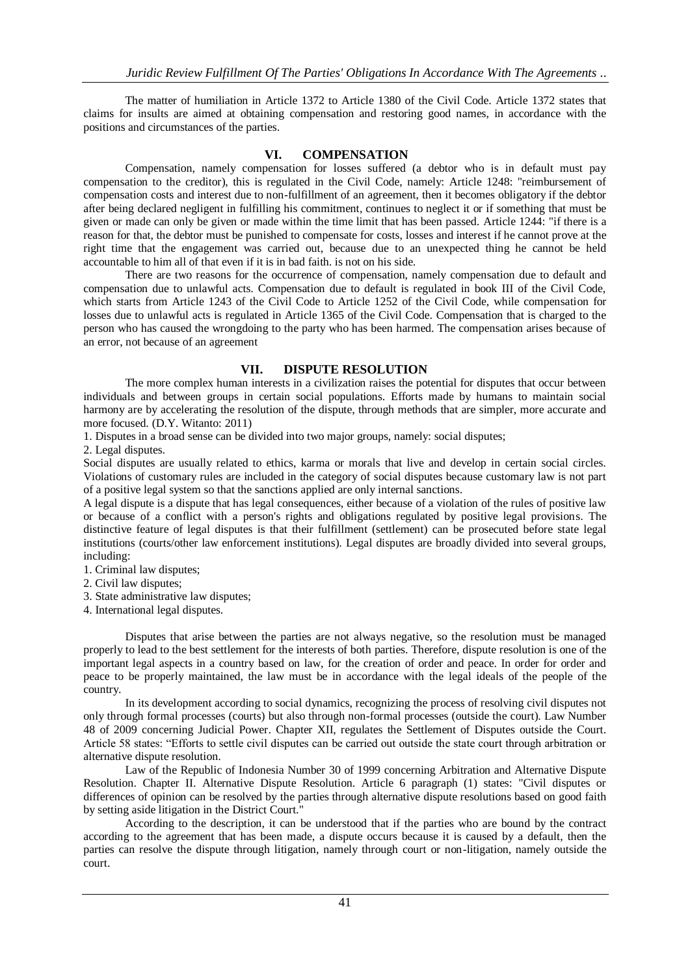The matter of humiliation in Article 1372 to Article 1380 of the Civil Code. Article 1372 states that claims for insults are aimed at obtaining compensation and restoring good names, in accordance with the positions and circumstances of the parties.

## **VI. COMPENSATION**

Compensation, namely compensation for losses suffered (a debtor who is in default must pay compensation to the creditor), this is regulated in the Civil Code, namely: Article 1248: "reimbursement of compensation costs and interest due to non-fulfillment of an agreement, then it becomes obligatory if the debtor after being declared negligent in fulfilling his commitment, continues to neglect it or if something that must be given or made can only be given or made within the time limit that has been passed. Article 1244: "if there is a reason for that, the debtor must be punished to compensate for costs, losses and interest if he cannot prove at the right time that the engagement was carried out, because due to an unexpected thing he cannot be held accountable to him all of that even if it is in bad faith. is not on his side.

There are two reasons for the occurrence of compensation, namely compensation due to default and compensation due to unlawful acts. Compensation due to default is regulated in book III of the Civil Code, which starts from Article 1243 of the Civil Code to Article 1252 of the Civil Code, while compensation for losses due to unlawful acts is regulated in Article 1365 of the Civil Code. Compensation that is charged to the person who has caused the wrongdoing to the party who has been harmed. The compensation arises because of an error, not because of an agreement

## **VII. DISPUTE RESOLUTION**

The more complex human interests in a civilization raises the potential for disputes that occur between individuals and between groups in certain social populations. Efforts made by humans to maintain social harmony are by accelerating the resolution of the dispute, through methods that are simpler, more accurate and more focused. (D.Y. Witanto: 2011)

1. Disputes in a broad sense can be divided into two major groups, namely: social disputes;

2. Legal disputes.

Social disputes are usually related to ethics, karma or morals that live and develop in certain social circles. Violations of customary rules are included in the category of social disputes because customary law is not part of a positive legal system so that the sanctions applied are only internal sanctions.

A legal dispute is a dispute that has legal consequences, either because of a violation of the rules of positive law or because of a conflict with a person's rights and obligations regulated by positive legal provisions. The distinctive feature of legal disputes is that their fulfillment (settlement) can be prosecuted before state legal institutions (courts/other law enforcement institutions). Legal disputes are broadly divided into several groups, including:

1. Criminal law disputes;

2. Civil law disputes;

- 3. State administrative law disputes;
- 4. International legal disputes.

Disputes that arise between the parties are not always negative, so the resolution must be managed properly to lead to the best settlement for the interests of both parties. Therefore, dispute resolution is one of the important legal aspects in a country based on law, for the creation of order and peace. In order for order and peace to be properly maintained, the law must be in accordance with the legal ideals of the people of the country.

In its development according to social dynamics, recognizing the process of resolving civil disputes not only through formal processes (courts) but also through non-formal processes (outside the court). Law Number 48 of 2009 concerning Judicial Power. Chapter XII, regulates the Settlement of Disputes outside the Court. Article 58 states: "Efforts to settle civil disputes can be carried out outside the state court through arbitration or alternative dispute resolution.

Law of the Republic of Indonesia Number 30 of 1999 concerning Arbitration and Alternative Dispute Resolution. Chapter II. Alternative Dispute Resolution. Article 6 paragraph (1) states: "Civil disputes or differences of opinion can be resolved by the parties through alternative dispute resolutions based on good faith by setting aside litigation in the District Court."

According to the description, it can be understood that if the parties who are bound by the contract according to the agreement that has been made, a dispute occurs because it is caused by a default, then the parties can resolve the dispute through litigation, namely through court or non-litigation, namely outside the court.